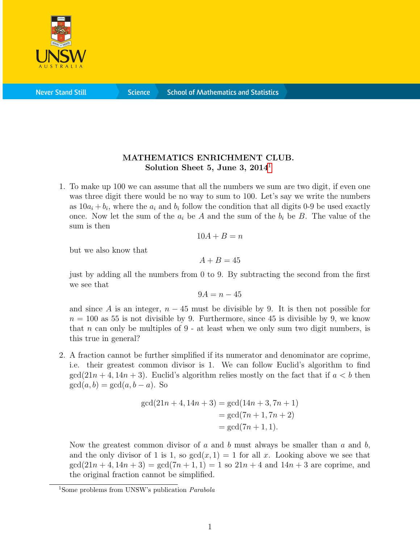

**Science** 

## MATHEMATICS ENRICHMENT CLUB. Solution Sheet 5, June 3,  $2014<sup>1</sup>$  $2014<sup>1</sup>$  $2014<sup>1</sup>$

1. To make up 100 we can assume that all the numbers we sum are two digit, if even one was three digit there would be no way to sum to 100. Let's say we write the numbers as  $10a_i + b_i$ , where the  $a_i$  and  $b_i$  follow the condition that all digits 0-9 be used exactly once. Now let the sum of the  $a_i$  be A and the sum of the  $b_i$  be B. The value of the sum is then

$$
10A+B=n
$$

but we also know that

$$
A+B=45
$$

just by adding all the numbers from 0 to 9. By subtracting the second from the first we see that

$$
9A = n - 45
$$

and since A is an integer,  $n - 45$  must be divisible by 9. It is then not possible for  $n = 100$  as 55 is not divisible by 9. Furthermore, since 45 is divisible by 9, we know that  $n$  can only be multiples of  $9$  - at least when we only sum two digit numbers, is this true in general?

2. A fraction cannot be further simplified if its numerator and denominator are coprime, i.e. their greatest common divisor is 1. We can follow Euclid's algorithm to find  $\gcd(21n+4, 14n+3)$ . Euclid's algorithm relies mostly on the fact that if  $a < b$  then  $gcd(a, b) = gcd(a, b - a)$ . So

$$
gcd(21n + 4, 14n + 3) = gcd(14n + 3, 7n + 1)
$$
  
= gcd(7n + 1, 7n + 2)  
= gcd(7n + 1, 1).

Now the greatest common divisor of a and b must always be smaller than a and b, and the only divisor of 1 is 1, so  $gcd(x, 1) = 1$  for all x. Looking above we see that  $\gcd(21n + 4, 14n + 3) = \gcd(7n + 1, 1) = 1$  so  $21n + 4$  and  $14n + 3$  are coprime, and the original fraction cannot be simplified.

<span id="page-0-0"></span><sup>&</sup>lt;sup>1</sup>Some problems from UNSW's publication *Parabola*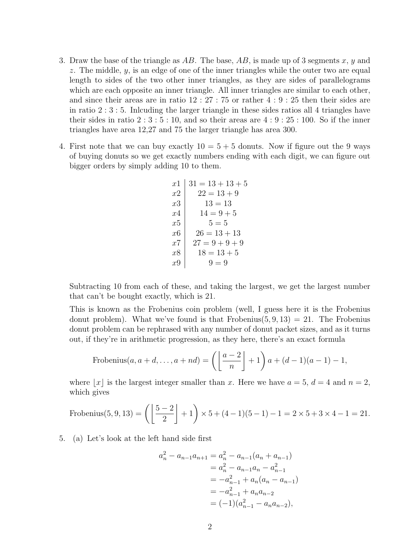- 3. Draw the base of the triangle as  $AB$ . The base,  $AB$ , is made up of 3 segments x, y and z. The middle,  $y$ , is an edge of one of the inner triangles while the outer two are equal length to sides of the two other inner triangles, as they are sides of parallelograms which are each opposite an inner triangle. All inner triangles are similar to each other, and since their areas are in ratio 12 : 27 : 75 or rather 4 : 9 : 25 then their sides are in ratio 2 : 3 : 5. Inlcuding the larger triangle in these sides ratios all 4 triangles have their sides in ratio  $2:3:5:10$ , and so their areas are  $4:9:25:100$ . So if the inner triangles have area 12,27 and 75 the larger triangle has area 300.
- 4. First note that we can buy exactly  $10 = 5 + 5$  donuts. Now if figure out the 9 ways of buying donuts so we get exactly numbers ending with each digit, we can figure out bigger orders by simply adding 10 to them.

| $x1$ | $31 = 13 + 13 + 5$ |
|------|--------------------|
| $x2$ | $22 = 13 + 9$      |
| $x3$ | $13 = 13$          |
| $x4$ | $14 = 9 + 5$       |
| $x5$ | $5 = 5$            |
| $x6$ | $26 = 13 + 13$     |
| $x7$ | $27 = 9 + 9 + 9$   |
| $x8$ | $18 = 13 + 5$      |
| $x9$ | $9 = 9$            |

Subtracting 10 from each of these, and taking the largest, we get the largest number that can't be bought exactly, which is 21.

This is known as the Frobenius coin problem (well, I guess here it is the Frobenius donut problem). What we've found is that Frobenius $(5, 9, 13) = 21$ . The Frobenius donut problem can be rephrased with any number of donut packet sizes, and as it turns out, if they're in arithmetic progression, as they here, there's an exact formula

Frobenius
$$
(a, a+d, ..., a+nd) = \left(\left\lfloor \frac{a-2}{n} \right\rfloor + 1\right) a + (d-1)(a-1) - 1,
$$

where |x| is the largest integer smaller than x. Here we have  $a = 5$ ,  $d = 4$  and  $n = 2$ , which gives

Frobenius(5, 9, 13) = 
$$
\left(\left\lfloor \frac{5-2}{2} \right\rfloor + 1\right) \times 5 + (4-1)(5-1) - 1 = 2 \times 5 + 3 \times 4 - 1 = 21.
$$

5. (a) Let's look at the left hand side first

$$
a_n^2 - a_{n-1}a_{n+1} = a_n^2 - a_{n-1}(a_n + a_{n-1})
$$
  
=  $a_n^2 - a_{n-1}a_n - a_{n-1}^2$   
=  $-a_{n-1}^2 + a_n(a_n - a_{n-1})$   
=  $-a_{n-1}^2 + a_n a_{n-2}$   
=  $(-1)(a_{n-1}^2 - a_n a_{n-2}),$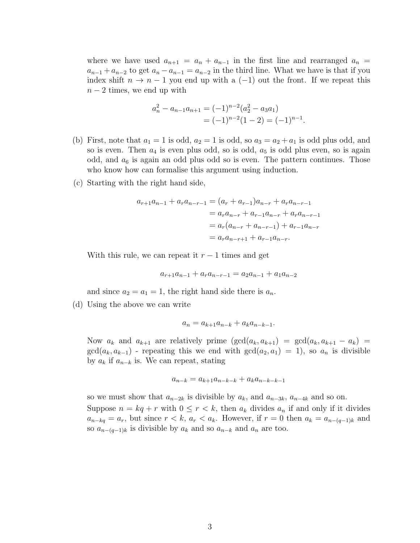where we have used  $a_{n+1} = a_n + a_{n-1}$  in the first line and rearranged  $a_n =$  $a_{n-1} + a_{n-2}$  to get  $a_n - a_{n-1} = a_{n-2}$  in the third line. What we have is that if you index shift  $n \to n-1$  you end up with a  $(-1)$  out the front. If we repeat this  $n-2$  times, we end up with

$$
a_n^2 - a_{n-1}a_{n+1} = (-1)^{n-2}(a_2^2 - a_3a_1)
$$
  
=  $(-1)^{n-2}(1-2) = (-1)^{n-1}$ .

- (b) First, note that  $a_1 = 1$  is odd,  $a_2 = 1$  is odd, so  $a_3 = a_2 + a_1$  is odd plus odd, and so is even. Then  $a_4$  is even plus odd, so is odd,  $a_5$  is odd plus even, so is again odd, and  $a_6$  is again an odd plus odd so is even. The pattern continues. Those who know how can formalise this argument using induction.
- (c) Starting with the right hand side,

$$
a_{r+1}a_{n-1} + a_ra_{n-r-1} = (a_r + a_{r-1})a_{n-r} + a_ra_{n-r-1}
$$
  
=  $a_ra_{n-r} + a_{r-1}a_{n-r} + a_ra_{n-r-1}$   
=  $a_r(a_{n-r} + a_{n-r-1}) + a_{r-1}a_{n-r}$   
=  $a_ra_{n-r+1} + a_{r-1}a_{n-r}$ .

With this rule, we can repeat it  $r-1$  times and get

$$
a_{r+1}a_{n-1} + a_{r}a_{n-r-1} = a_{2}a_{n-1} + a_{1}a_{n-2}
$$

and since  $a_2 = a_1 = 1$ , the right hand side there is  $a_n$ .

(d) Using the above we can write

$$
a_n = a_{k+1}a_{n-k} + a_ka_{n-k-1}.
$$

Now  $a_k$  and  $a_{k+1}$  are relatively prime  $(\gcd(a_k, a_{k+1}) = \gcd(a_k, a_{k+1} - a_k) =$  $gcd(a_k, a_{k-1})$  - repeating this we end with  $gcd(a_2, a_1) = 1$ , so  $a_n$  is divisible by  $a_k$  if  $a_{n-k}$  is. We can repeat, stating

$$
a_{n-k} = a_{k+1}a_{n-k-k} + a_k a_{n-k-k-1}
$$

so we must show that  $a_{n-2k}$  is divisible by  $a_k$ , and  $a_{n-3k}$ ,  $a_{n-4k}$  and so on. Suppose  $n = kq + r$  with  $0 \le r < k$ , then  $a_k$  divides  $a_n$  if and only if it divides  $a_{n-kq} = a_r$ , but since  $r < k$ ,  $a_r < a_k$ . However, if  $r = 0$  then  $a_k = a_{n-(q-1)k}$  and so  $a_{n-(q-1)k}$  is divisible by  $a_k$  and so  $a_{n-k}$  and  $a_n$  are too.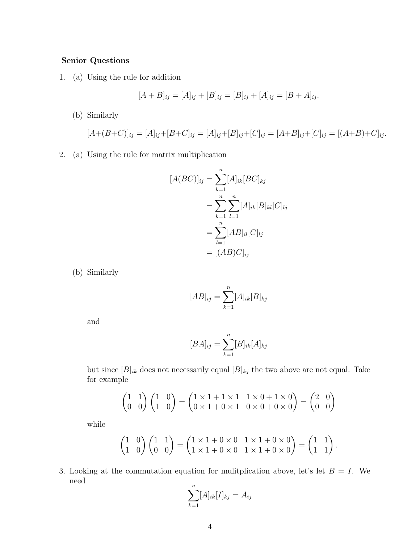## Senior Questions

1. (a) Using the rule for addition

$$
[A + B]_{ij} = [A]_{ij} + [B]_{ij} = [B]_{ij} + [A]_{ij} = [B + A]_{ij}.
$$

(b) Similarly

$$
[A+(B+C)]_{ij} = [A]_{ij} + [B+C]_{ij} = [A]_{ij} + [B]_{ij} + [C]_{ij} = [A+B]_{ij} + [C]_{ij} = [(A+B)+C]_{ij}.
$$

2. (a) Using the rule for matrix multiplication

$$
[A(BC)]_{ij} = \sum_{k=1}^{n} [A]_{ik} [BC]_{kj}
$$
  
= 
$$
\sum_{k=1}^{n} \sum_{l=1}^{n} [A]_{ik} [B]_{kl} [C]_{lj}
$$
  
= 
$$
\sum_{l=1}^{n} [AB]_{il} [C]_{lj}
$$
  
= 
$$
[(AB)C]_{ij}
$$

(b) Similarly

$$
[AB]_{ij} = \sum_{k=1}^{n} [A]_{ik} [B]_{kj}
$$

and

$$
[BA]_{ij} = \sum_{k=1}^{n} [B]_{ik} [A]_{kj}
$$

but since  $[B]_{ik}$  does not necessarily equal  $[B]_{kj}$  the two above are not equal. Take for example

$$
\begin{pmatrix} 1 & 1 \\ 0 & 0 \end{pmatrix} \begin{pmatrix} 1 & 0 \\ 1 & 0 \end{pmatrix} = \begin{pmatrix} 1 \times 1 + 1 \times 1 & 1 \times 0 + 1 \times 0 \\ 0 \times 1 + 0 \times 1 & 0 \times 0 + 0 \times 0 \end{pmatrix} = \begin{pmatrix} 2 & 0 \\ 0 & 0 \end{pmatrix}
$$

while

$$
\begin{pmatrix} 1 & 0 \\ 1 & 0 \end{pmatrix} \begin{pmatrix} 1 & 1 \\ 0 & 0 \end{pmatrix} = \begin{pmatrix} 1 \times 1 + 0 \times 0 & 1 \times 1 + 0 \times 0 \\ 1 \times 1 + 0 \times 0 & 1 \times 1 + 0 \times 0 \end{pmatrix} = \begin{pmatrix} 1 & 1 \\ 1 & 1 \end{pmatrix}.
$$

3. Looking at the commutation equation for mulitplication above, let's let  $B = I$ . We need

$$
\sum_{k=1}^{n} [A]_{ik} [I]_{kj} = A_{ij}
$$